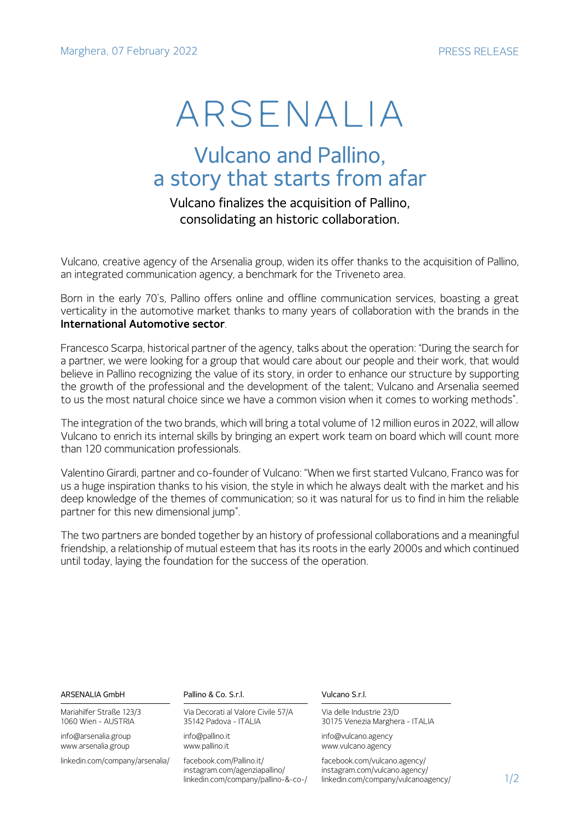# ARSENALIA

## Vulcano and Pallino, a story that starts from afar

## Vulcano finalizes the acquisition of Pallino, consolidating an historic collaboration.

Vulcano, creative agency of the Arsenalia group, widen its offer thanks to the acquisition of Pallino, an integrated communication agency, a benchmark for the Triveneto area.

Born in the early 70's, Pallino offers online and offline communication services, boasting a great verticality in the automotive market thanks to many years of collaboration with the brands in the **International Automotive sector**.

Francesco Scarpa, historical partner of the agency, talks about the operation: "During the search for a partner, we were looking for a group that would care about our people and their work, that would believe in Pallino recognizing the value of its story, in order to enhance our structure by supporting the growth of the professional and the development of the talent; Vulcano and Arsenalia seemed to us the most natural choice since we have a common vision when it comes to working methods".

The integration of the two brands, which will bring a total volume of 12 million euros in 2022, will allow Vulcano to enrich its internal skills by bringing an expert work team on board which will count more than 120 communication professionals.

Valentino Girardi, partner and co-founder of Vulcano: "When we first started Vulcano, Franco was for us a huge inspiration thanks to his vision, the style in which he always dealt with the market and his deep knowledge of the themes of communication; so it was natural for us to find in him the reliable partner for this new dimensional jump".

The two partners are bonded together by an history of professional collaborations and a meaningful friendship, a relationship of mutual esteem that has its roots in the early 2000s and which continued until today, laying the foundation for the success of the operation.

### ARSENALIA GmbH

Mariahilfer Straße 123/3 1060 Wien - AUSTRIA

info@arsenalia.group www.arsenalia.group

linkedin.com/company/arsenalia/

Pallino & Co. S.r.l.

Via Decorati al Valore Civile 57/A 35142 Padova - ITALIA

info@pallino.it www.pallino.it

facebook.com/Pallino.it/ instagram.com/agenziapallino/ linkedin.com/company/pallino-&-co-/ Vulcano S.r.l.

Via delle Industrie 23/D 30175 Venezia Marghera - ITALIA

info@vulcano.agency www.vulcano.agency

facebook.com/vulcano.agency/ instagram.com/vulcano.agency/ linkedin.com/company/vulcanoagency/